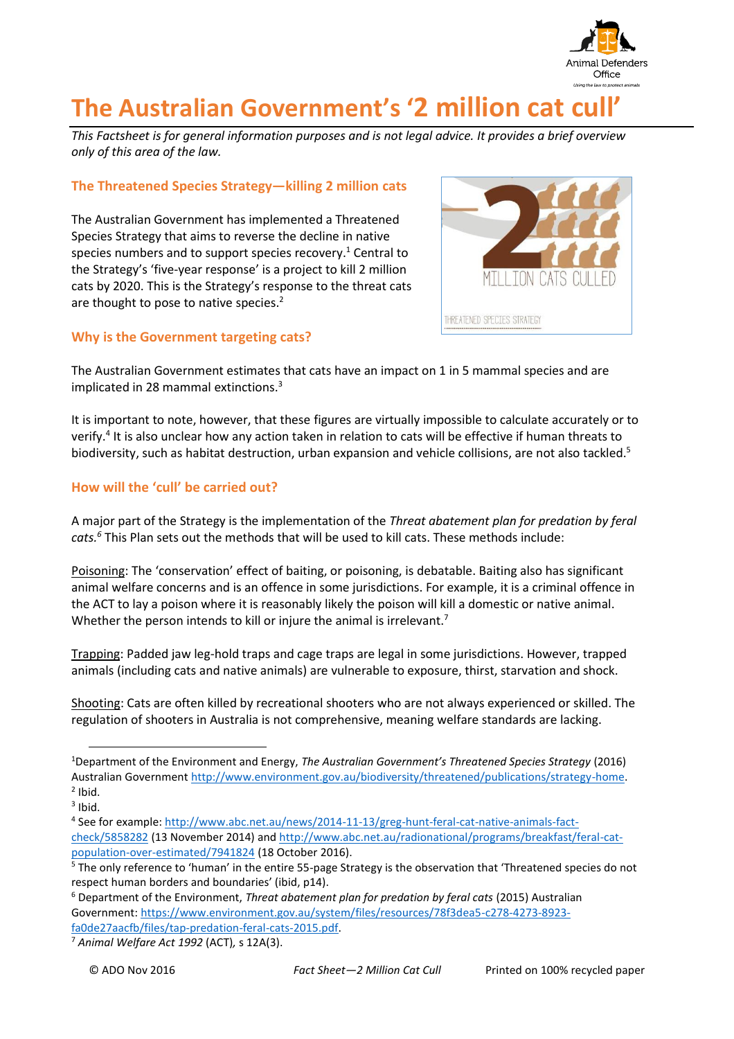

# **The Australian Government's '2 million cat cull'**

*This Factsheet is for general information purposes and is not legal advice. It provides a brief overview only of this area of the law.*

# **The Threatened Species Strategy—killing 2 million cats**

The Australian Government has implemented a Threatened Species Strategy that aims to reverse the decline in native species numbers and to support species recovery.<sup>1</sup> Central to the Strategy's 'five-year response' is a project to kill 2 million cats by 2020. This is the Strategy's response to the threat cats are thought to pose to native species. 2

# **Why is the Government targeting cats?**



The Australian Government estimates that cats have an impact on 1 in 5 mammal species and are implicated in 28 mammal extinctions.<sup>3</sup>

It is important to note, however, that these figures are virtually impossible to calculate accurately or to verify.<sup>4</sup> It is also unclear how any action taken in relation to cats will be effective if human threats to biodiversity, such as habitat destruction, urban expansion and vehicle collisions, are not also tackled.<sup>5</sup>

# **How will the 'cull' be carried out?**

A major part of the Strategy is the implementation of the *Threat abatement plan for predation by feral cats. <sup>6</sup>* This Plan sets out the methods that will be used to kill cats. These methods include:

Poisoning: The 'conservation' effect of baiting, or poisoning, is debatable. Baiting also has significant animal welfare concerns and is an offence in some jurisdictions. For example, it is a criminal offence in the ACT to lay a poison where it is reasonably likely the poison will kill a domestic or native animal. Whether the person intends to kill or injure the animal is irrelevant.<sup>7</sup>

Trapping: Padded jaw leg-hold traps and cage traps are legal in some jurisdictions. However, trapped animals (including cats and native animals) are vulnerable to exposure, thirst, starvation and shock.

Shooting: Cats are often killed by recreational shooters who are not always experienced or skilled. The regulation of shooters in Australia is not comprehensive, meaning welfare standards are lacking.

 $\overline{a}$ 

<sup>1</sup>Department of the Environment and Energy, *The Australian Government's Threatened Species Strategy* (2016) Australian Government [http://www.environment.gov.au/biodiversity/threatened/publications/strategy-home.](http://www.environment.gov.au/biodiversity/threatened/publications/strategy-home)   $2$  Ibid.

 $3$  Ibid.

<sup>&</sup>lt;sup>4</sup> See for example: <u>http://www.abc.net.au/news/2014-11-13/greg-hunt-feral-cat-native-animals-fact-</u> [check/5858282](http://www.abc.net.au/news/2014-11-13/greg-hunt-feral-cat-native-animals-fact-check/5858282) (13 November 2014) an[d http://www.abc.net.au/radionational/programs/breakfast/feral-cat](http://www.abc.net.au/radionational/programs/breakfast/feral-cat-population-over-estimated/7941824)[population-over-estimated/7941824](http://www.abc.net.au/radionational/programs/breakfast/feral-cat-population-over-estimated/7941824) (18 October 2016).

<sup>&</sup>lt;sup>5</sup> The only reference to 'human' in the entire 55-page Strategy is the observation that 'Threatened species do not respect human borders and boundaries' (ibid, p14).

<sup>6</sup> Department of the Environment, *Threat abatement plan for predation by feral cats* (2015) Australian Government: [https://www.environment.gov.au/system/files/resources/78f3dea5-c278-4273-8923](https://www.environment.gov.au/system/files/resources/78f3dea5-c278-4273-8923-fa0de27aacfb/files/tap-predation-feral-cats-2015.pdf) [fa0de27aacfb/files/tap-predation-feral-cats-2015.pdf.](https://www.environment.gov.au/system/files/resources/78f3dea5-c278-4273-8923-fa0de27aacfb/files/tap-predation-feral-cats-2015.pdf)

<sup>7</sup> *Animal Welfare Act 1992* (ACT)*,* s 12A(3).